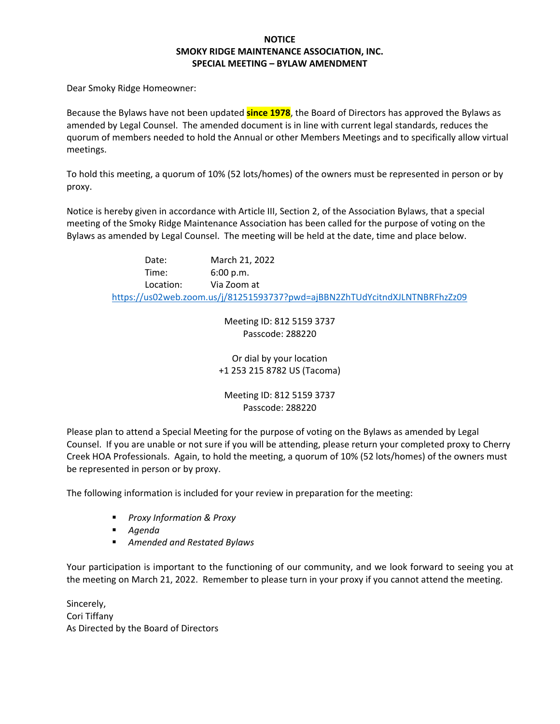#### **NOTICE SMOKY RIDGE MAINTENANCE ASSOCIATION, INC. SPECIAL MEETING – BYLAW AMENDMENT**

Dear Smoky Ridge Homeowner:

Because the Bylaws have not been updated **since 1978**, the Board of Directors has approved the Bylaws as amended by Legal Counsel. The amended document is in line with current legal standards, reduces the quorum of members needed to hold the Annual or other Members Meetings and to specifically allow virtual meetings.

To hold this meeting, a quorum of 10% (52 lots/homes) of the owners must be represented in person or by proxy.

Notice is hereby given in accordance with Article III, Section 2, of the Association Bylaws, that a special meeting of the Smoky Ridge Maintenance Association has been called for the purpose of voting on the Bylaws as amended by Legal Counsel. The meeting will be held at the date, time and place below.

> Date: March 21, 2022 Time: 6:00 p.m. Location: Via Zoom at <https://us02web.zoom.us/j/81251593737?pwd=ajBBN2ZhTUdYcitndXJLNTNBRFhzZz09>

> > Meeting ID: 812 5159 3737 Passcode: 288220

Or dial by your location +1 253 215 8782 US (Tacoma)

Meeting ID: 812 5159 3737 Passcode: 288220

Please plan to attend a Special Meeting for the purpose of voting on the Bylaws as amended by Legal Counsel. If you are unable or not sure if you will be attending, please return your completed proxy to Cherry Creek HOA Professionals. Again, to hold the meeting, a quorum of 10% (52 lots/homes) of the owners must be represented in person or by proxy.

The following information is included for your review in preparation for the meeting:

- *Proxy Information & Proxy*
- *Agenda*
- *Amended and Restated Bylaws*

Your participation is important to the functioning of our community, and we look forward to seeing you at the meeting on March 21, 2022. Remember to please turn in your proxy if you cannot attend the meeting.

Sincerely, Cori Tiffany As Directed by the Board of Directors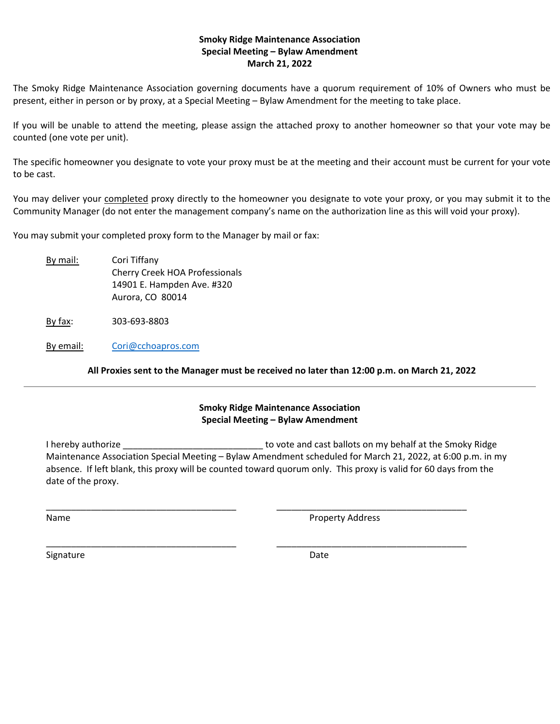#### **Smoky Ridge Maintenance Association Special Meeting – Bylaw Amendment March 21, 2022**

The Smoky Ridge Maintenance Association governing documents have a quorum requirement of 10% of Owners who must be present, either in person or by proxy, at a Special Meeting – Bylaw Amendment for the meeting to take place.

If you will be unable to attend the meeting, please assign the attached proxy to another homeowner so that your vote may be counted (one vote per unit).

The specific homeowner you designate to vote your proxy must be at the meeting and their account must be current for your vote to be cast.

You may deliver your completed proxy directly to the homeowner you designate to vote your proxy, or you may submit it to the Community Manager (do not enter the management company's name on the authorization line as this will void your proxy).

You may submit your completed proxy form to the Manager by mail or fax:

By mail: Cori Tiffany Cherry Creek HOA Professionals 14901 E. Hampden Ave. #320 Aurora, CO 80014

By fax: 303-693-8803

By email: [Cori@cchoapros.com](mailto:Cori@cchoapros.com)

**All Proxies sent to the Manager must be received no later than 12:00 p.m. on March 21, 2022**

# **Smoky Ridge Maintenance Association Special Meeting – Bylaw Amendment**

I hereby authorize \_\_\_\_\_\_\_\_\_\_\_\_\_\_\_\_\_\_\_\_\_\_\_\_\_\_\_\_ to vote and cast ballots on my behalf at the Smoky Ridge Maintenance Association Special Meeting – Bylaw Amendment scheduled for March 21, 2022, at 6:00 p.m. in my absence. If left blank, this proxy will be counted toward quorum only. This proxy is valid for 60 days from the date of the proxy.

\_\_\_\_\_\_\_\_\_\_\_\_\_\_\_\_\_\_\_\_\_\_\_\_\_\_\_\_\_\_\_\_\_\_\_\_\_\_ \_\_\_\_\_\_\_\_\_\_\_\_\_\_\_\_\_\_\_\_\_\_\_\_\_\_\_\_\_\_\_\_\_\_\_\_\_\_

\_\_\_\_\_\_\_\_\_\_\_\_\_\_\_\_\_\_\_\_\_\_\_\_\_\_\_\_\_\_\_\_\_\_\_\_\_\_ \_\_\_\_\_\_\_\_\_\_\_\_\_\_\_\_\_\_\_\_\_\_\_\_\_\_\_\_\_\_\_\_\_\_\_\_\_\_

Name **Name** Property Address

Signature Date Date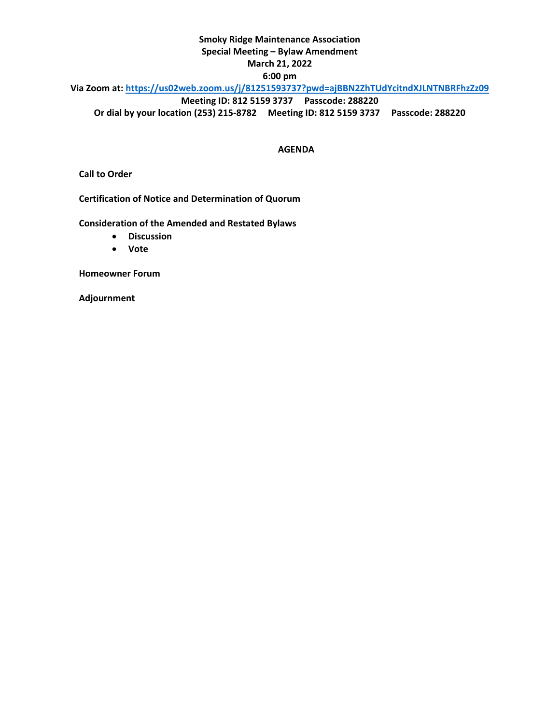#### **Smoky Ridge Maintenance Association**

#### **Special Meeting – Bylaw Amendment**

#### **March 21, 2022**

#### **6:00 pm**

# **Via Zoom at:<https://us02web.zoom.us/j/81251593737?pwd=ajBBN2ZhTUdYcitndXJLNTNBRFhzZz09>**

**Meeting ID: 812 5159 3737 Passcode: 288220**

**Or dial by your location (253) 215-8782 Meeting ID: 812 5159 3737 Passcode: 288220**

#### **AGENDA**

**Call to Order**

**Certification of Notice and Determination of Quorum**

**Consideration of the Amended and Restated Bylaws**

- **Discussion**
- **Vote**

**Homeowner Forum**

**Adjournment**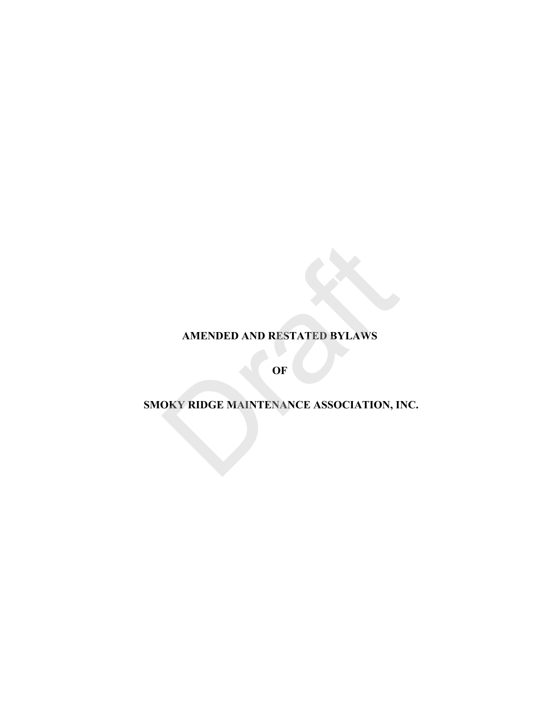# **AMENDED AND RESTATED BYLAWS**

**OF** 

# **SMOKY RIDGE MAINTENANCE ASSOCIATION, INC.** AMENDED AND RESTATED BYLAWS<br>OF<br>OKY RIDGE MAINTENANCE ASSOCIATION, II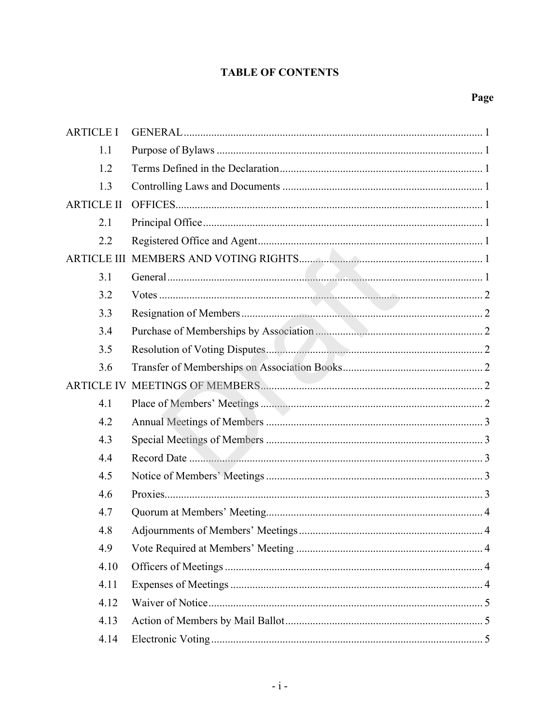# **TABLE OF CONTENTS**

| <b>ARTICLE I</b>   |  |
|--------------------|--|
| 1.1                |  |
| 1.2                |  |
| 1.3                |  |
| <b>ARTICLE II</b>  |  |
| 2.1                |  |
| 2.2                |  |
| <b>ARTICLE III</b> |  |
| 3.1                |  |
| 3.2                |  |
| 3.3                |  |
| 3.4                |  |
| 3.5                |  |
| 3.6                |  |
| <b>ARTICLE IV</b>  |  |
| 4.1                |  |
| 4.2                |  |
| 4.3                |  |
| 4.4                |  |
| 4.5                |  |
| 4.6                |  |
| 4.7                |  |
| 4.8                |  |
| 4.9                |  |
| 4.10               |  |
| 4.11               |  |
| 4.12               |  |
| 4.13               |  |
| 4.14               |  |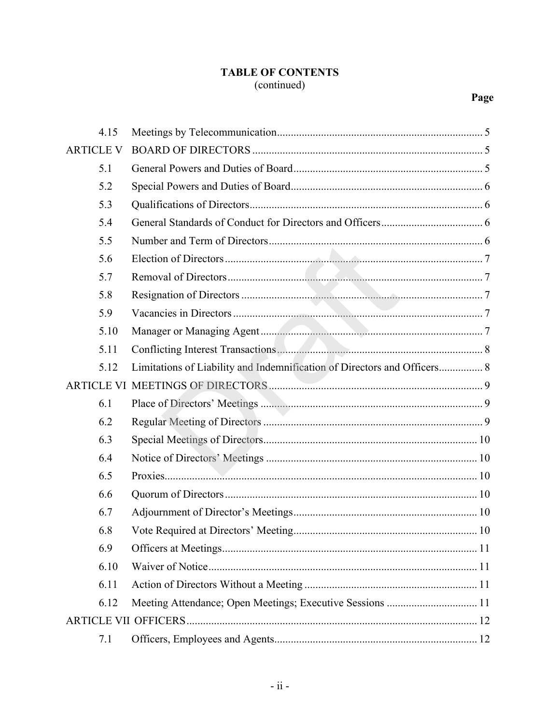# **TABLE OF CONTENTS** (continued)

| 4.15             |                                                                          |  |
|------------------|--------------------------------------------------------------------------|--|
| <b>ARTICLE V</b> |                                                                          |  |
| 5.1              |                                                                          |  |
| 5.2              |                                                                          |  |
| 5.3              |                                                                          |  |
| 5.4              |                                                                          |  |
| 5.5              |                                                                          |  |
| 5.6              |                                                                          |  |
| 5.7              |                                                                          |  |
| 5.8              |                                                                          |  |
| 5.9              |                                                                          |  |
| 5.10             |                                                                          |  |
| 5.11             |                                                                          |  |
| 5.12             | Limitations of Liability and Indemnification of Directors and Officers 8 |  |
|                  |                                                                          |  |
| 6.1              |                                                                          |  |
| 6.2              |                                                                          |  |
| 6.3              |                                                                          |  |
| 6.4              |                                                                          |  |
| 6.5              |                                                                          |  |
| 6.6              |                                                                          |  |
| 6.7              |                                                                          |  |
| 6.8              |                                                                          |  |
| 6.9              |                                                                          |  |
| 6.10             |                                                                          |  |
| 6.11             |                                                                          |  |
| 6.12             | Meeting Attendance; Open Meetings; Executive Sessions  11                |  |
|                  |                                                                          |  |
| 7.1              |                                                                          |  |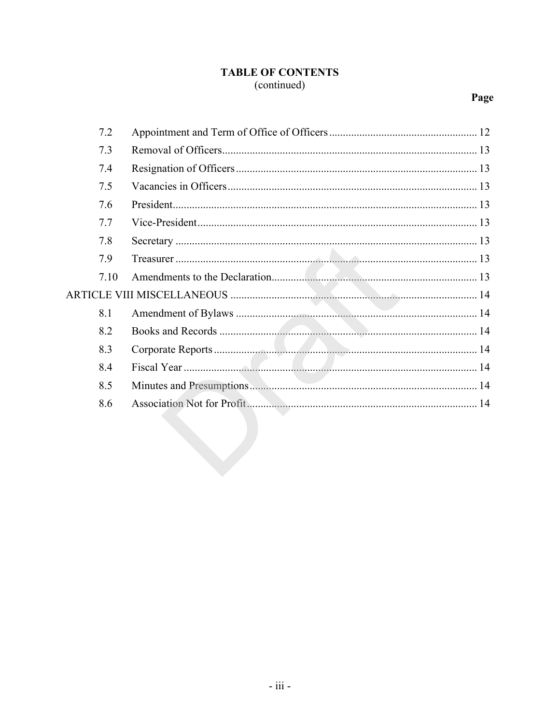# **TABLE OF CONTENTS** (continued)

| 7.2  |  |
|------|--|
| 7.3  |  |
| 7.4  |  |
| 7.5  |  |
| 7.6  |  |
| 7.7  |  |
| 7.8  |  |
| 7.9  |  |
| 7.10 |  |
|      |  |
| 8.1  |  |
| 8.2  |  |
| 8.3  |  |
| 8.4  |  |
| 8.5  |  |
| 8.6  |  |
|      |  |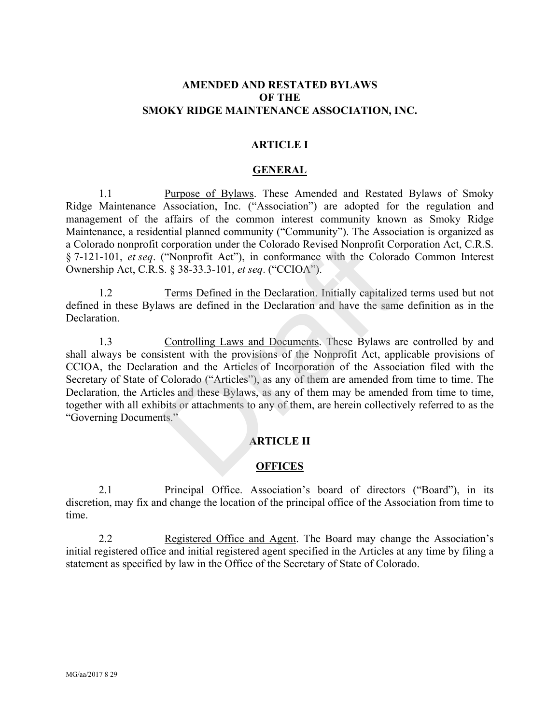## **AMENDED AND RESTATED BYLAWS OF THE SMOKY RIDGE MAINTENANCE ASSOCIATION, INC.**

#### **ARTICLE I**

#### **GENERAL**

1.1 Purpose of Bylaws. These Amended and Restated Bylaws of Smoky Ridge Maintenance Association, Inc. ("Association") are adopted for the regulation and management of the affairs of the common interest community known as Smoky Ridge Maintenance, a residential planned community ("Community"). The Association is organized as a Colorado nonprofit corporation under the Colorado Revised Nonprofit Corporation Act, C.R.S. § 7-121-101, *et seq*. ("Nonprofit Act"), in conformance with the Colorado Common Interest Ownership Act, C.R.S. § 38-33.3-101, *et seq*. ("CCIOA").

1.2 Terms Defined in the Declaration. Initially capitalized terms used but not defined in these Bylaws are defined in the Declaration and have the same definition as in the Declaration.

1.3 Controlling Laws and Documents. These Bylaws are controlled by and shall always be consistent with the provisions of the Nonprofit Act, applicable provisions of CCIOA, the Declaration and the Articles of Incorporation of the Association filed with the Secretary of State of Colorado ("Articles"), as any of them are amended from time to time. The Declaration, the Articles and these Bylaws, as any of them may be amended from time to time, together with all exhibits or attachments to any of them, are herein collectively referred to as the "Governing Documents." corporation under the Colorado Revised Nonprofit Co<br>
("Nonprofit Act"), in conformance with the Colorado ("Colorado").<br>
S. § 38-33.3-101, *et seq.* ("CCIOA").<br>
Terms Defined in the Declaration. Initially capitalize<br>
was ar

#### **ARTICLE II**

#### **OFFICES**

2.1 Principal Office. Association's board of directors ("Board"), in its discretion, may fix and change the location of the principal office of the Association from time to time.

2.2 Registered Office and Agent. The Board may change the Association's initial registered office and initial registered agent specified in the Articles at any time by filing a statement as specified by law in the Office of the Secretary of State of Colorado.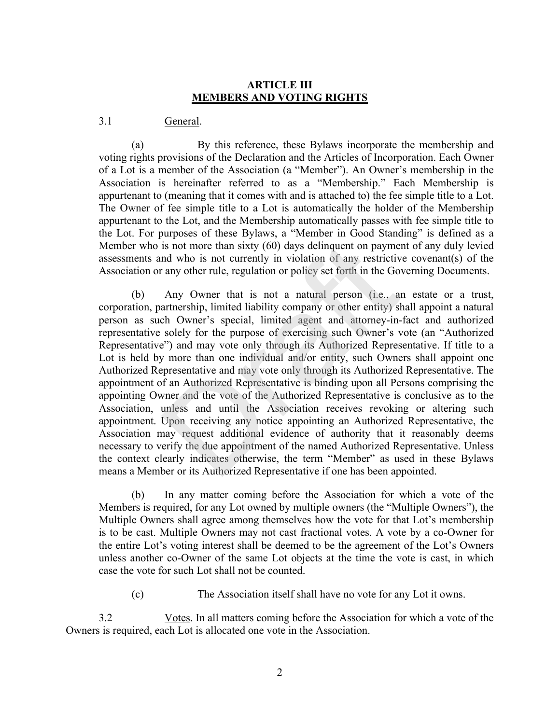#### **ARTICLE III MEMBERS AND VOTING RIGHTS**

#### 3.1 General.

(a) By this reference, these Bylaws incorporate the membership and voting rights provisions of the Declaration and the Articles of Incorporation. Each Owner of a Lot is a member of the Association (a "Member"). An Owner's membership in the Association is hereinafter referred to as a "Membership." Each Membership is appurtenant to (meaning that it comes with and is attached to) the fee simple title to a Lot. The Owner of fee simple title to a Lot is automatically the holder of the Membership appurtenant to the Lot, and the Membership automatically passes with fee simple title to the Lot. For purposes of these Bylaws, a "Member in Good Standing" is defined as a Member who is not more than sixty (60) days delinquent on payment of any duly levied assessments and who is not currently in violation of any restrictive covenant(s) of the Association or any other rule, regulation or policy set forth in the Governing Documents.

(b) Any Owner that is not a natural person (i.e., an estate or a trust, corporation, partnership, limited liability company or other entity) shall appoint a natural person as such Owner's special, limited agent and attorney-in-fact and authorized representative solely for the purpose of exercising such Owner's vote (an "Authorized Representative") and may vote only through its Authorized Representative. If title to a Lot is held by more than one individual and/or entity, such Owners shall appoint one Authorized Representative and may vote only through its Authorized Representative. The appointment of an Authorized Representative is binding upon all Persons comprising the appointing Owner and the vote of the Authorized Representative is conclusive as to the Association, unless and until the Association receives revoking or altering such appointment. Upon receiving any notice appointing an Authorized Representative, the Association may request additional evidence of authority that it reasonably deems necessary to verify the due appointment of the named Authorized Representative. Unless the context clearly indicates otherwise, the term "Member" as used in these Bylaws means a Member or its Authorized Representative if one has been appointed. is not more than sixty (60) days delinquent on payment on by the mean sixty (60) days delinquent on payment of who is not currently in violation of any restrictive any other rule, regulation or policy set forth in the Go A

(b) In any matter coming before the Association for which a vote of the Members is required, for any Lot owned by multiple owners (the "Multiple Owners"), the Multiple Owners shall agree among themselves how the vote for that Lot's membership is to be cast. Multiple Owners may not cast fractional votes. A vote by a co-Owner for the entire Lot's voting interest shall be deemed to be the agreement of the Lot's Owners unless another co-Owner of the same Lot objects at the time the vote is cast, in which case the vote for such Lot shall not be counted.

(c) The Association itself shall have no vote for any Lot it owns.

3.2 Votes. In all matters coming before the Association for which a vote of the Owners is required, each Lot is allocated one vote in the Association.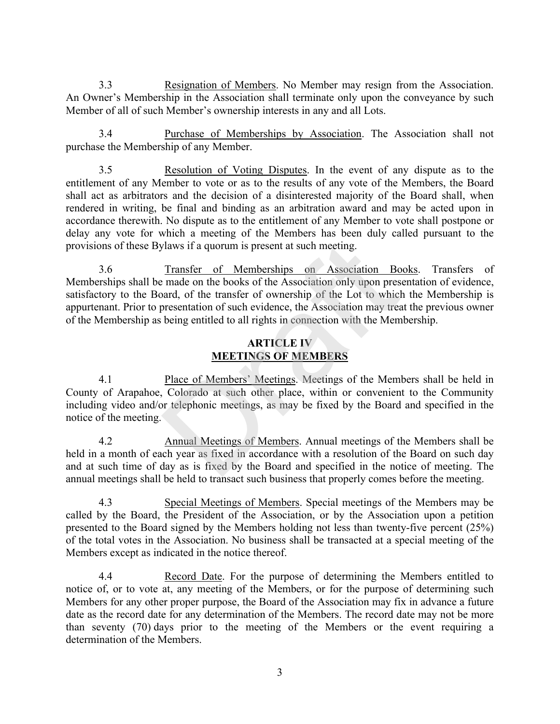3.3 Resignation of Members. No Member may resign from the Association. An Owner's Membership in the Association shall terminate only upon the conveyance by such Member of all of such Member's ownership interests in any and all Lots.

3.4 Purchase of Memberships by Association. The Association shall not purchase the Membership of any Member.

3.5 Resolution of Voting Disputes. In the event of any dispute as to the entitlement of any Member to vote or as to the results of any vote of the Members, the Board shall act as arbitrators and the decision of a disinterested majority of the Board shall, when rendered in writing, be final and binding as an arbitration award and may be acted upon in accordance therewith. No dispute as to the entitlement of any Member to vote shall postpone or delay any vote for which a meeting of the Members has been duly called pursuant to the provisions of these Bylaws if a quorum is present at such meeting.

3.6 Transfer of Memberships on Association Books. Transfers of Memberships shall be made on the books of the Association only upon presentation of evidence, satisfactory to the Board, of the transfer of ownership of the Lot to which the Membership is appurtenant. Prior to presentation of such evidence, the Association may treat the previous owner of the Membership as being entitled to all rights in connection with the Membership. vlaws if a quorum is present at such meeting.<br>
Transfer of Memberships on Association Bo<br>
emade on the books of the Association only upon pres<br>
bard, of the transfer of ownership of the Lot to which<br>
oresentation of such e

## **ARTICLE IV MEETINGS OF MEMBERS**

4.1 Place of Members' Meetings. Meetings of the Members shall be held in County of Arapahoe, Colorado at such other place, within or convenient to the Community including video and/or telephonic meetings, as may be fixed by the Board and specified in the notice of the meeting.

4.2 Annual Meetings of Members. Annual meetings of the Members shall be held in a month of each year as fixed in accordance with a resolution of the Board on such day and at such time of day as is fixed by the Board and specified in the notice of meeting. The annual meetings shall be held to transact such business that properly comes before the meeting.

4.3 Special Meetings of Members. Special meetings of the Members may be called by the Board, the President of the Association, or by the Association upon a petition presented to the Board signed by the Members holding not less than twenty-five percent (25%) of the total votes in the Association. No business shall be transacted at a special meeting of the Members except as indicated in the notice thereof.

4.4 Record Date. For the purpose of determining the Members entitled to notice of, or to vote at, any meeting of the Members, or for the purpose of determining such Members for any other proper purpose, the Board of the Association may fix in advance a future date as the record date for any determination of the Members. The record date may not be more than seventy (70) days prior to the meeting of the Members or the event requiring a determination of the Members.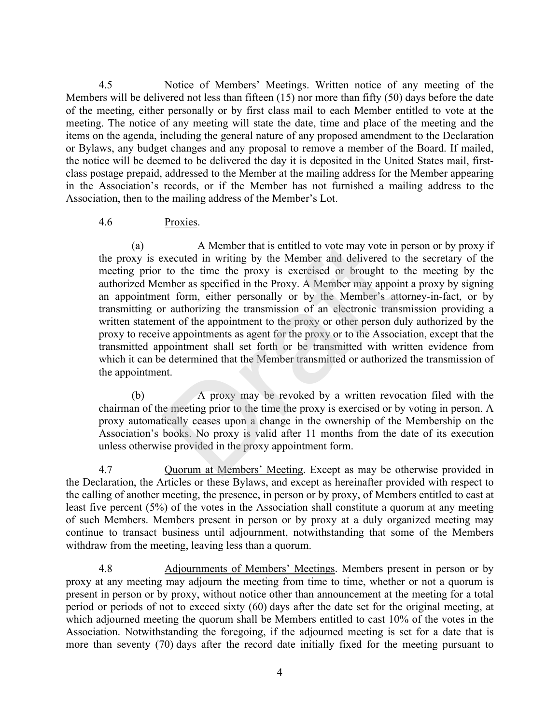4.5 Notice of Members' Meetings. Written notice of any meeting of the Members will be delivered not less than fifteen (15) nor more than fifty (50) days before the date of the meeting, either personally or by first class mail to each Member entitled to vote at the meeting. The notice of any meeting will state the date, time and place of the meeting and the items on the agenda, including the general nature of any proposed amendment to the Declaration or Bylaws, any budget changes and any proposal to remove a member of the Board. If mailed, the notice will be deemed to be delivered the day it is deposited in the United States mail, firstclass postage prepaid, addressed to the Member at the mailing address for the Member appearing in the Association's records, or if the Member has not furnished a mailing address to the Association, then to the mailing address of the Member's Lot.

#### 4.6 Proxies.

(a) A Member that is entitled to vote may vote in person or by proxy if the proxy is executed in writing by the Member and delivered to the secretary of the meeting prior to the time the proxy is exercised or brought to the meeting by the authorized Member as specified in the Proxy. A Member may appoint a proxy by signing an appointment form, either personally or by the Member's attorney-in-fact, or by transmitting or authorizing the transmission of an electronic transmission providing a written statement of the appointment to the proxy or other person duly authorized by the proxy to receive appointments as agent for the proxy or to the Association, except that the transmitted appointment shall set forth or be transmitted with written evidence from which it can be determined that the Member transmitted or authorized the transmission of the appointment. A Member that is entitled to vote may vote in executed in writing by the Member and delivered to to the time the proxy is exercised or brought to mber as specified in the Proxy. A Member may appoint form, either personally

(b) A proxy may be revoked by a written revocation filed with the chairman of the meeting prior to the time the proxy is exercised or by voting in person. A proxy automatically ceases upon a change in the ownership of the Membership on the Association's books. No proxy is valid after 11 months from the date of its execution unless otherwise provided in the proxy appointment form.

4.7 Quorum at Members' Meeting. Except as may be otherwise provided in the Declaration, the Articles or these Bylaws, and except as hereinafter provided with respect to the calling of another meeting, the presence, in person or by proxy, of Members entitled to cast at least five percent (5%) of the votes in the Association shall constitute a quorum at any meeting of such Members. Members present in person or by proxy at a duly organized meeting may continue to transact business until adjournment, notwithstanding that some of the Members withdraw from the meeting, leaving less than a quorum.

4.8 Adjournments of Members' Meetings. Members present in person or by proxy at any meeting may adjourn the meeting from time to time, whether or not a quorum is present in person or by proxy, without notice other than announcement at the meeting for a total period or periods of not to exceed sixty (60) days after the date set for the original meeting, at which adjourned meeting the quorum shall be Members entitled to cast 10% of the votes in the Association. Notwithstanding the foregoing, if the adjourned meeting is set for a date that is more than seventy (70) days after the record date initially fixed for the meeting pursuant to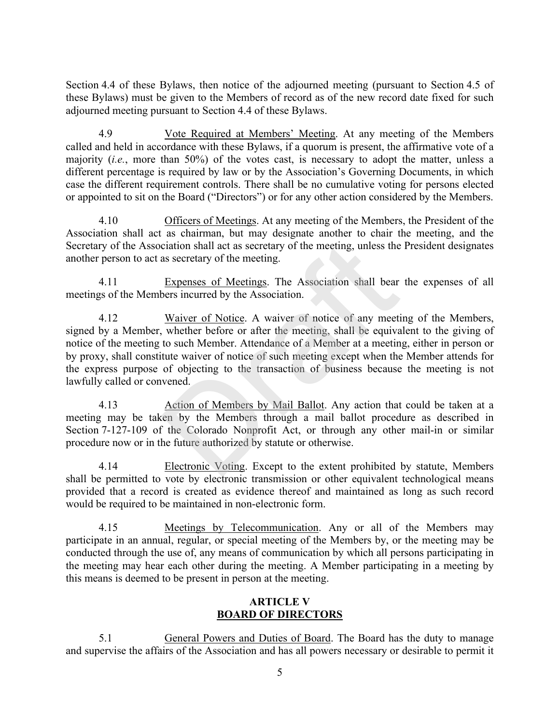Section 4.4 of these Bylaws, then notice of the adjourned meeting (pursuant to Section 4.5 of these Bylaws) must be given to the Members of record as of the new record date fixed for such adjourned meeting pursuant to Section 4.4 of these Bylaws.

4.9 Vote Required at Members' Meeting. At any meeting of the Members called and held in accordance with these Bylaws, if a quorum is present, the affirmative vote of a majority (*i.e.*, more than 50%) of the votes cast, is necessary to adopt the matter, unless a different percentage is required by law or by the Association's Governing Documents, in which case the different requirement controls. There shall be no cumulative voting for persons elected or appointed to sit on the Board ("Directors") or for any other action considered by the Members.

4.10 Officers of Meetings. At any meeting of the Members, the President of the Association shall act as chairman, but may designate another to chair the meeting, and the Secretary of the Association shall act as secretary of the meeting, unless the President designates another person to act as secretary of the meeting.

4.11 Expenses of Meetings. The Association shall bear the expenses of all meetings of the Members incurred by the Association.

4.12 Waiver of Notice. A waiver of notice of any meeting of the Members, signed by a Member, whether before or after the meeting, shall be equivalent to the giving of notice of the meeting to such Member. Attendance of a Member at a meeting, either in person or by proxy, shall constitute waiver of notice of such meeting except when the Member attends for the express purpose of objecting to the transaction of business because the meeting is not lawfully called or convened. ciation shall act as secretary of the meeting, unless the<br>as secretary of the meeting.<br>Expenses of Meetings. The Association shall bear<br>bears incurred by the Association.<br>Waiver of Notice. A waiver of notice of any meeting

4.13 Action of Members by Mail Ballot. Any action that could be taken at a meeting may be taken by the Members through a mail ballot procedure as described in Section 7-127-109 of the Colorado Nonprofit Act, or through any other mail-in or similar procedure now or in the future authorized by statute or otherwise.

4.14 Electronic Voting. Except to the extent prohibited by statute, Members shall be permitted to vote by electronic transmission or other equivalent technological means provided that a record is created as evidence thereof and maintained as long as such record would be required to be maintained in non-electronic form.

4.15 Meetings by Telecommunication. Any or all of the Members may participate in an annual, regular, or special meeting of the Members by, or the meeting may be conducted through the use of, any means of communication by which all persons participating in the meeting may hear each other during the meeting. A Member participating in a meeting by this means is deemed to be present in person at the meeting.

## **ARTICLE V BOARD OF DIRECTORS**

5.1 General Powers and Duties of Board. The Board has the duty to manage and supervise the affairs of the Association and has all powers necessary or desirable to permit it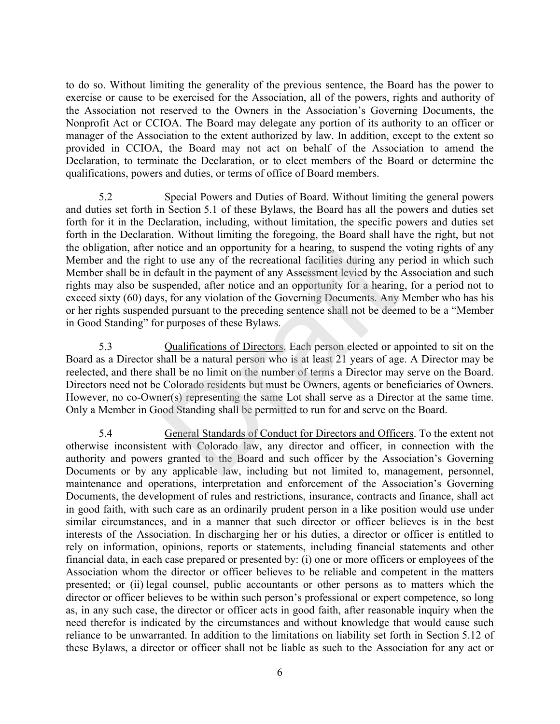to do so. Without limiting the generality of the previous sentence, the Board has the power to exercise or cause to be exercised for the Association, all of the powers, rights and authority of the Association not reserved to the Owners in the Association's Governing Documents, the Nonprofit Act or CCIOA. The Board may delegate any portion of its authority to an officer or manager of the Association to the extent authorized by law. In addition, except to the extent so provided in CCIOA, the Board may not act on behalf of the Association to amend the Declaration, to terminate the Declaration, or to elect members of the Board or determine the qualifications, powers and duties, or terms of office of Board members.

5.2 Special Powers and Duties of Board. Without limiting the general powers and duties set forth in Section 5.1 of these Bylaws, the Board has all the powers and duties set forth for it in the Declaration, including, without limitation, the specific powers and duties set forth in the Declaration. Without limiting the foregoing, the Board shall have the right, but not the obligation, after notice and an opportunity for a hearing, to suspend the voting rights of any Member and the right to use any of the recreational facilities during any period in which such Member shall be in default in the payment of any Assessment levied by the Association and such rights may also be suspended, after notice and an opportunity for a hearing, for a period not to exceed sixty (60) days, for any violation of the Governing Documents. Any Member who has his or her rights suspended pursuant to the preceding sentence shall not be deemed to be a "Member in Good Standing" for purposes of these Bylaws. ortice and an opportunity for a hearing, to suspend the<br>t to use any of the recreational facilities during any p<br>fault in the payment of any Assessment levied by the<br>spended, after notice and an opportunity for a hearing<br>s

5.3 Qualifications of Directors. Each person elected or appointed to sit on the Board as a Director shall be a natural person who is at least 21 years of age. A Director may be reelected, and there shall be no limit on the number of terms a Director may serve on the Board. Directors need not be Colorado residents but must be Owners, agents or beneficiaries of Owners. However, no co-Owner(s) representing the same Lot shall serve as a Director at the same time. Only a Member in Good Standing shall be permitted to run for and serve on the Board.

5.4 General Standards of Conduct for Directors and Officers. To the extent not otherwise inconsistent with Colorado law, any director and officer, in connection with the authority and powers granted to the Board and such officer by the Association's Governing Documents or by any applicable law, including but not limited to, management, personnel, maintenance and operations, interpretation and enforcement of the Association's Governing Documents, the development of rules and restrictions, insurance, contracts and finance, shall act in good faith, with such care as an ordinarily prudent person in a like position would use under similar circumstances, and in a manner that such director or officer believes is in the best interests of the Association. In discharging her or his duties, a director or officer is entitled to rely on information, opinions, reports or statements, including financial statements and other financial data, in each case prepared or presented by: (i) one or more officers or employees of the Association whom the director or officer believes to be reliable and competent in the matters presented; or (ii) legal counsel, public accountants or other persons as to matters which the director or officer believes to be within such person's professional or expert competence, so long as, in any such case, the director or officer acts in good faith, after reasonable inquiry when the need therefor is indicated by the circumstances and without knowledge that would cause such reliance to be unwarranted. In addition to the limitations on liability set forth in Section 5.12 of these Bylaws, a director or officer shall not be liable as such to the Association for any act or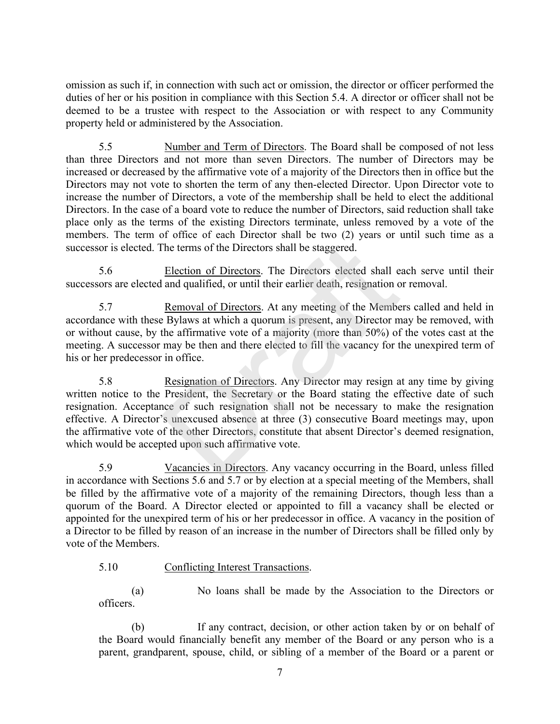omission as such if, in connection with such act or omission, the director or officer performed the duties of her or his position in compliance with this Section 5.4. A director or officer shall not be deemed to be a trustee with respect to the Association or with respect to any Community property held or administered by the Association.

5.5 Number and Term of Directors. The Board shall be composed of not less than three Directors and not more than seven Directors. The number of Directors may be increased or decreased by the affirmative vote of a majority of the Directors then in office but the Directors may not vote to shorten the term of any then-elected Director. Upon Director vote to increase the number of Directors, a vote of the membership shall be held to elect the additional Directors. In the case of a board vote to reduce the number of Directors, said reduction shall take place only as the terms of the existing Directors terminate, unless removed by a vote of the members. The term of office of each Director shall be two (2) years or until such time as a successor is elected. The terms of the Directors shall be staggered.

5.6 Election of Directors. The Directors elected shall each serve until their successors are elected and qualified, or until their earlier death, resignation or removal.

5.7 Removal of Directors. At any meeting of the Members called and held in accordance with these Bylaws at which a quorum is present, any Director may be removed, with or without cause, by the affirmative vote of a majority (more than 50%) of the votes cast at the meeting. A successor may be then and there elected to fill the vacancy for the unexpired term of his or her predecessor in office.

5.8 Resignation of Directors. Any Director may resign at any time by giving written notice to the President, the Secretary or the Board stating the effective date of such resignation. Acceptance of such resignation shall not be necessary to make the resignation effective. A Director's unexcused absence at three (3) consecutive Board meetings may, upon the affirmative vote of the other Directors, constitute that absent Director's deemed resignation, which would be accepted upon such affirmative vote. The terms of the Directors shall be staggered.<br>
<u>Election of Directors</u>. The Directors elected shall e<br>
and qualified, or until their earlier death, resignation o<br>
<u>Removal of Directors</u>. At any meeting of the Member<br>
Eyla

5.9 Vacancies in Directors. Any vacancy occurring in the Board, unless filled in accordance with Sections 5.6 and 5.7 or by election at a special meeting of the Members, shall be filled by the affirmative vote of a majority of the remaining Directors, though less than a quorum of the Board. A Director elected or appointed to fill a vacancy shall be elected or appointed for the unexpired term of his or her predecessor in office. A vacancy in the position of a Director to be filled by reason of an increase in the number of Directors shall be filled only by vote of the Members.

#### 5.10 Conflicting Interest Transactions.

(a) No loans shall be made by the Association to the Directors or officers.

(b) If any contract, decision, or other action taken by or on behalf of the Board would financially benefit any member of the Board or any person who is a parent, grandparent, spouse, child, or sibling of a member of the Board or a parent or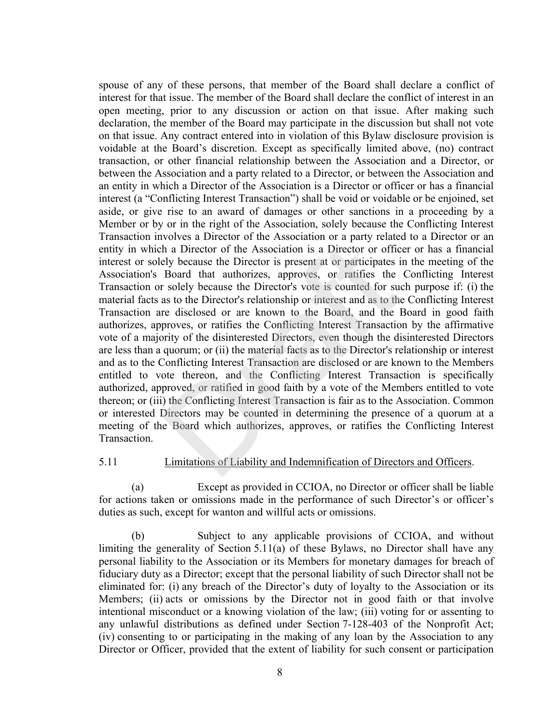spouse of any of these persons, that member of the Board shall declare a conflict of interest for that issue. The member of the Board shall declare the conflict of interest in an open meeting, prior to any discussion or action on that issue. After making such declaration, the member of the Board may participate in the discussion but shall not vote on that issue. Any contract entered into in violation of this Bylaw disclosure provision is voidable at the Board's discretion. Except as specifically limited above, (no) contract transaction, or other financial relationship between the Association and a Director, or between the Association and a party related to a Director, or between the Association and an entity in which a Director of the Association is a Director or officer or has a financial interest (a "Conflicting Interest Transaction") shall be void or voidable or be enjoined, set aside, or give rise to an award of damages or other sanctions in a proceeding by a Member or by or in the right of the Association, solely because the Conflicting Interest Transaction involves a Director of the Association or a party related to a Director or an entity in which a Director of the Association is a Director or officer or has a financial interest or solely because the Director is present at or participates in the meeting of the Association's Board that authorizes, approves, or ratifies the Conflicting Interest Transaction or solely because the Director's vote is counted for such purpose if: (i) the material facts as to the Director's relationship or interest and as to the Conflicting Interest Transaction are disclosed or are known to the Board, and the Board in good faith authorizes, approves, or ratifies the Conflicting Interest Transaction by the affirmative vote of a majority of the disinterested Directors, even though the disinterested Directors are less than a quorum; or (ii) the material facts as to the Director's relationship or interest and as to the Conflicting Interest Transaction are disclosed or are known to the Members entitled to vote thereon, and the Conflicting Interest Transaction is specifically authorized, approved, or ratified in good faith by a vote of the Members entitled to vote thereon; or (iii) the Conflicting Interest Transaction is fair as to the Association. Common or interested Directors may be counted in determining the presence of a quorum at a meeting of the Board which authorizes, approves, or ratifies the Conflicting Interest Transaction. The absorber of the Association is a Director or officely because the Director of the Association is a Director or officely because the Director is present at or participates is Board that authorizes, approves, or ratifies

#### 5.11 Limitations of Liability and Indemnification of Directors and Officers.

(a) Except as provided in CCIOA, no Director or officer shall be liable for actions taken or omissions made in the performance of such Director's or officer's duties as such, except for wanton and willful acts or omissions.

(b) Subject to any applicable provisions of CCIOA, and without limiting the generality of Section 5.11(a) of these Bylaws, no Director shall have any personal liability to the Association or its Members for monetary damages for breach of fiduciary duty as a Director; except that the personal liability of such Director shall not be eliminated for: (i) any breach of the Director's duty of loyalty to the Association or its Members; (ii) acts or omissions by the Director not in good faith or that involve intentional misconduct or a knowing violation of the law; (iii) voting for or assenting to any unlawful distributions as defined under Section 7-128-403 of the Nonprofit Act; (iv) consenting to or participating in the making of any loan by the Association to any Director or Officer, provided that the extent of liability for such consent or participation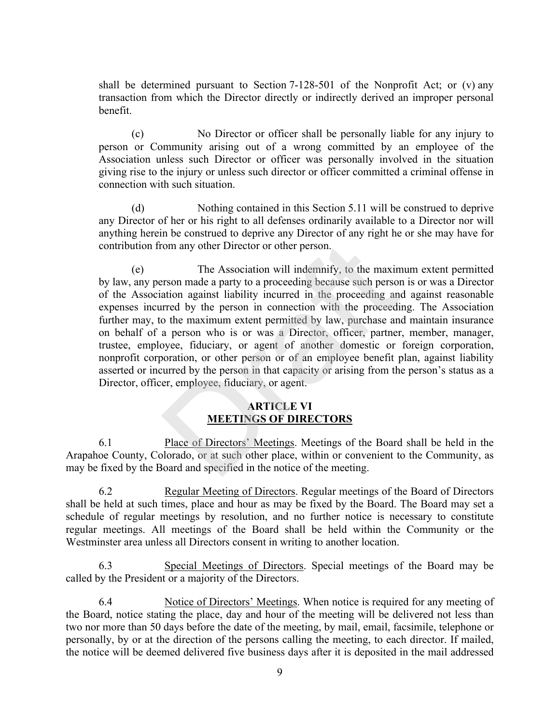shall be determined pursuant to Section  $7-128-501$  of the Nonprofit Act; or (v) any transaction from which the Director directly or indirectly derived an improper personal benefit.

(c) No Director or officer shall be personally liable for any injury to person or Community arising out of a wrong committed by an employee of the Association unless such Director or officer was personally involved in the situation giving rise to the injury or unless such director or officer committed a criminal offense in connection with such situation.

(d) Nothing contained in this Section 5.11 will be construed to deprive any Director of her or his right to all defenses ordinarily available to a Director nor will anything herein be construed to deprive any Director of any right he or she may have for contribution from any other Director or other person.

(e) The Association will indemnify, to the maximum extent permitted by law, any person made a party to a proceeding because such person is or was a Director of the Association against liability incurred in the proceeding and against reasonable expenses incurred by the person in connection with the proceeding. The Association further may, to the maximum extent permitted by law, purchase and maintain insurance on behalf of a person who is or was a Director, officer, partner, member, manager, trustee, employee, fiduciary, or agent of another domestic or foreign corporation, nonprofit corporation, or other person or of an employee benefit plan, against liability asserted or incurred by the person in that capacity or arising from the person's status as a Director, officer, employee, fiduciary, or agent. The Association will indemnify, to the maximizers on any other Director or other person.<br>The Association will indemnify, to the maximum and a party to a proceeding because such person<br>ation against liability incurred in th

# **ARTICLE VI MEETINGS OF DIRECTORS**

6.1 Place of Directors' Meetings. Meetings of the Board shall be held in the Arapahoe County, Colorado, or at such other place, within or convenient to the Community, as may be fixed by the Board and specified in the notice of the meeting.

6.2 Regular Meeting of Directors. Regular meetings of the Board of Directors shall be held at such times, place and hour as may be fixed by the Board. The Board may set a schedule of regular meetings by resolution, and no further notice is necessary to constitute regular meetings. All meetings of the Board shall be held within the Community or the Westminster area unless all Directors consent in writing to another location.

6.3 Special Meetings of Directors. Special meetings of the Board may be called by the President or a majority of the Directors.

6.4 Notice of Directors' Meetings. When notice is required for any meeting of the Board, notice stating the place, day and hour of the meeting will be delivered not less than two nor more than 50 days before the date of the meeting, by mail, email, facsimile, telephone or personally, by or at the direction of the persons calling the meeting, to each director. If mailed, the notice will be deemed delivered five business days after it is deposited in the mail addressed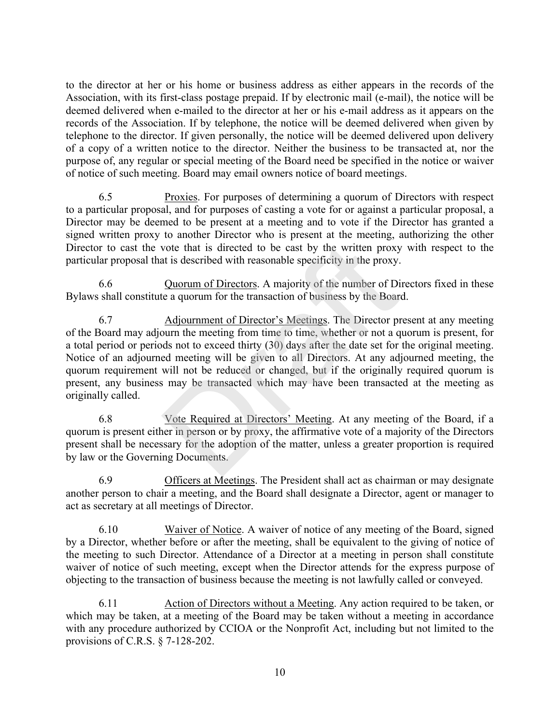to the director at her or his home or business address as either appears in the records of the Association, with its first-class postage prepaid. If by electronic mail (e-mail), the notice will be deemed delivered when e-mailed to the director at her or his e-mail address as it appears on the records of the Association. If by telephone, the notice will be deemed delivered when given by telephone to the director. If given personally, the notice will be deemed delivered upon delivery of a copy of a written notice to the director. Neither the business to be transacted at, nor the purpose of, any regular or special meeting of the Board need be specified in the notice or waiver of notice of such meeting. Board may email owners notice of board meetings.

6.5 Proxies. For purposes of determining a quorum of Directors with respect to a particular proposal, and for purposes of casting a vote for or against a particular proposal, a Director may be deemed to be present at a meeting and to vote if the Director has granted a signed written proxy to another Director who is present at the meeting, authorizing the other Director to cast the vote that is directed to be cast by the written proxy with respect to the particular proposal that is described with reasonable specificity in the proxy.

6.6 Quorum of Directors. A majority of the number of Directors fixed in these Bylaws shall constitute a quorum for the transaction of business by the Board.

6.7 Adjournment of Director's Meetings. The Director present at any meeting of the Board may adjourn the meeting from time to time, whether or not a quorum is present, for a total period or periods not to exceed thirty (30) days after the date set for the original meeting. Notice of an adjourned meeting will be given to all Directors. At any adjourned meeting, the quorum requirement will not be reduced or changed, but if the originally required quorum is present, any business may be transacted which may have been transacted at the meeting as originally called. vote that is directed to be cast by the written proxy<br>at is described with reasonable specificity in the proxy.<br>Quorum of Directors. A majority of the number of Di<br>te a quorum for the transaction of business by the Boar<br>Ad

6.8 Vote Required at Directors' Meeting. At any meeting of the Board, if a quorum is present either in person or by proxy, the affirmative vote of a majority of the Directors present shall be necessary for the adoption of the matter, unless a greater proportion is required by law or the Governing Documents.

6.9 Officers at Meetings. The President shall act as chairman or may designate another person to chair a meeting, and the Board shall designate a Director, agent or manager to act as secretary at all meetings of Director.

6.10 Waiver of Notice. A waiver of notice of any meeting of the Board, signed by a Director, whether before or after the meeting, shall be equivalent to the giving of notice of the meeting to such Director. Attendance of a Director at a meeting in person shall constitute waiver of notice of such meeting, except when the Director attends for the express purpose of objecting to the transaction of business because the meeting is not lawfully called or conveyed.

6.11 Action of Directors without a Meeting. Any action required to be taken, or which may be taken, at a meeting of the Board may be taken without a meeting in accordance with any procedure authorized by CCIOA or the Nonprofit Act, including but not limited to the provisions of C.R.S. § 7-128-202.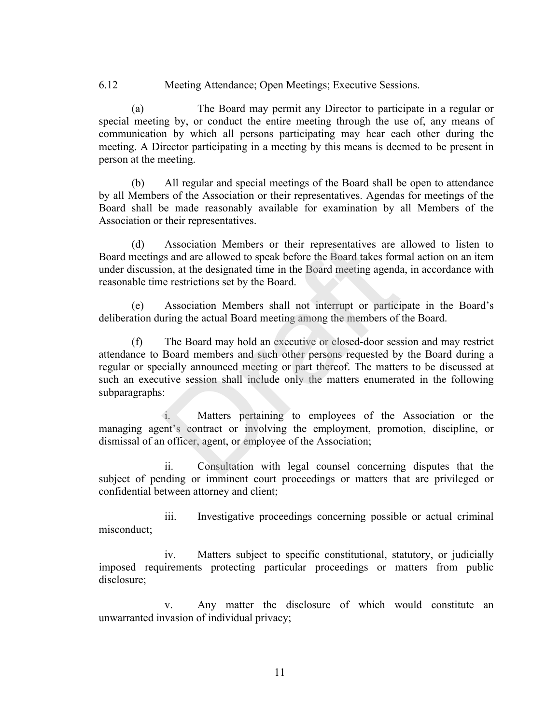#### 6.12 Meeting Attendance; Open Meetings; Executive Sessions.

(a) The Board may permit any Director to participate in a regular or special meeting by, or conduct the entire meeting through the use of, any means of communication by which all persons participating may hear each other during the meeting. A Director participating in a meeting by this means is deemed to be present in person at the meeting.

(b) All regular and special meetings of the Board shall be open to attendance by all Members of the Association or their representatives. Agendas for meetings of the Board shall be made reasonably available for examination by all Members of the Association or their representatives.

(d) Association Members or their representatives are allowed to listen to Board meetings and are allowed to speak before the Board takes formal action on an item under discussion, at the designated time in the Board meeting agenda, in accordance with reasonable time restrictions set by the Board.

(e) Association Members shall not interrupt or participate in the Board's deliberation during the actual Board meeting among the members of the Board.

(f) The Board may hold an executive or closed-door session and may restrict attendance to Board members and such other persons requested by the Board during a regular or specially announced meeting or part thereof. The matters to be discussed at such an executive session shall include only the matters enumerated in the following subparagraphs: Association Members or their representatives are<br>gs and are allowed to speak before the Board takes forr<br>on, at the designated time in the Board meeting agenda<br>e restrictions set by the Board.<br>Association Members shall not

 i. Matters pertaining to employees of the Association or the managing agent's contract or involving the employment, promotion, discipline, or dismissal of an officer, agent, or employee of the Association;

 ii. Consultation with legal counsel concerning disputes that the subject of pending or imminent court proceedings or matters that are privileged or confidential between attorney and client;

 iii. Investigative proceedings concerning possible or actual criminal misconduct;

 iv. Matters subject to specific constitutional, statutory, or judicially imposed requirements protecting particular proceedings or matters from public disclosure;

 v. Any matter the disclosure of which would constitute an unwarranted invasion of individual privacy;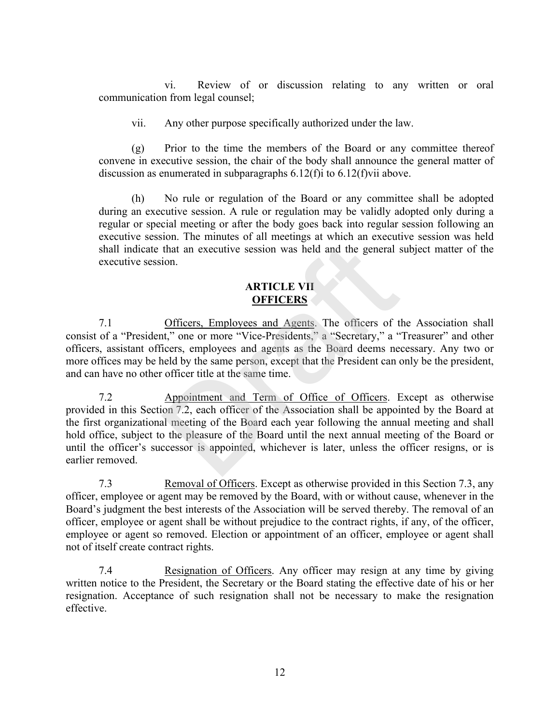vi. Review of or discussion relating to any written or oral communication from legal counsel;

vii. Any other purpose specifically authorized under the law.

 (g) Prior to the time the members of the Board or any committee thereof convene in executive session, the chair of the body shall announce the general matter of discussion as enumerated in subparagraphs  $6.12(f)i$  to  $6.12(f)vi$  above.

 (h) No rule or regulation of the Board or any committee shall be adopted during an executive session. A rule or regulation may be validly adopted only during a regular or special meeting or after the body goes back into regular session following an executive session. The minutes of all meetings at which an executive session was held shall indicate that an executive session was held and the general subject matter of the executive session.

#### **ARTICLE VII OFFICERS**

7.1 Officers, Employees and Agents. The officers of the Association shall consist of a "President," one or more "Vice-Presidents," a "Secretary," a "Treasurer" and other officers, assistant officers, employees and agents as the Board deems necessary. Any two or more offices may be held by the same person, except that the President can only be the president, and can have no other officer title at the same time.

7.2 Appointment and Term of Office of Officers. Except as otherwise provided in this Section 7.2, each officer of the Association shall be appointed by the Board at the first organizational meeting of the Board each year following the annual meeting and shall hold office, subject to the pleasure of the Board until the next annual meeting of the Board or until the officer's successor is appointed, whichever is later, unless the officer resigns, or is earlier removed. The minimals of each interting and the general state and executive session was held and the general state and accounts and  $\triangle$  **ARTICLE VII**<br> **ARTICLE VII**<br> **OFFICERS**<br> **Officers, Employees and Agents.** The officers of th

7.3 Removal of Officers. Except as otherwise provided in this Section 7.3, any officer, employee or agent may be removed by the Board, with or without cause, whenever in the Board's judgment the best interests of the Association will be served thereby. The removal of an officer, employee or agent shall be without prejudice to the contract rights, if any, of the officer, employee or agent so removed. Election or appointment of an officer, employee or agent shall not of itself create contract rights.

7.4 Resignation of Officers. Any officer may resign at any time by giving written notice to the President, the Secretary or the Board stating the effective date of his or her resignation. Acceptance of such resignation shall not be necessary to make the resignation effective.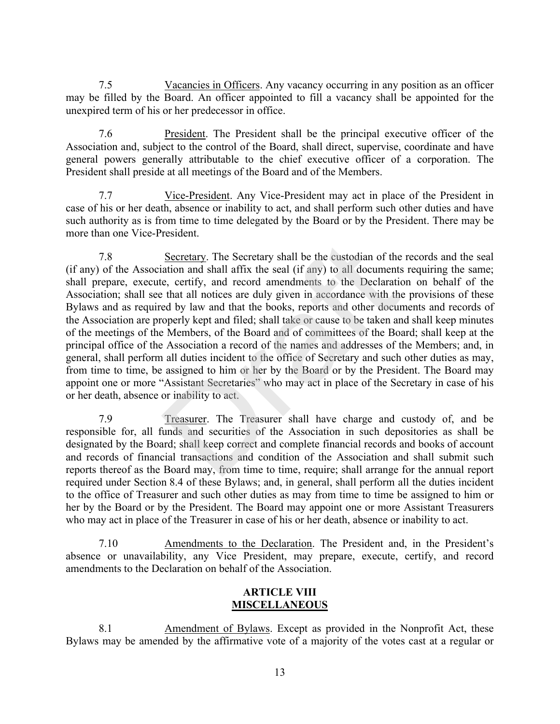7.5 Vacancies in Officers. Any vacancy occurring in any position as an officer may be filled by the Board. An officer appointed to fill a vacancy shall be appointed for the unexpired term of his or her predecessor in office.

7.6 President. The President shall be the principal executive officer of the Association and, subject to the control of the Board, shall direct, supervise, coordinate and have general powers generally attributable to the chief executive officer of a corporation. The President shall preside at all meetings of the Board and of the Members.

7.7 Vice-President. Any Vice-President may act in place of the President in case of his or her death, absence or inability to act, and shall perform such other duties and have such authority as is from time to time delegated by the Board or by the President. There may be more than one Vice-President.

7.8 Secretary. The Secretary shall be the custodian of the records and the seal (if any) of the Association and shall affix the seal (if any) to all documents requiring the same; shall prepare, execute, certify, and record amendments to the Declaration on behalf of the Association; shall see that all notices are duly given in accordance with the provisions of these Bylaws and as required by law and that the books, reports and other documents and records of the Association are properly kept and filed; shall take or cause to be taken and shall keep minutes of the meetings of the Members, of the Board and of committees of the Board; shall keep at the principal office of the Association a record of the names and addresses of the Members; and, in general, shall perform all duties incident to the office of Secretary and such other duties as may, from time to time, be assigned to him or her by the Board or by the President. The Board may appoint one or more "Assistant Secretaries" who may act in place of the Secretary in case of his or her death, absence or inability to act. Secretary. The Secretary shall be the custodian of the<br>ation and shall affix the seal (if any) to all documents<br>e, certify, and record amendments to the Declaratie<br>that all notices are duly given in accordance with the<br>ed

7.9 Treasurer. The Treasurer shall have charge and custody of, and be responsible for, all funds and securities of the Association in such depositories as shall be designated by the Board; shall keep correct and complete financial records and books of account and records of financial transactions and condition of the Association and shall submit such reports thereof as the Board may, from time to time, require; shall arrange for the annual report required under Section 8.4 of these Bylaws; and, in general, shall perform all the duties incident to the office of Treasurer and such other duties as may from time to time be assigned to him or her by the Board or by the President. The Board may appoint one or more Assistant Treasurers who may act in place of the Treasurer in case of his or her death, absence or inability to act.

7.10 Amendments to the Declaration. The President and, in the President's absence or unavailability, any Vice President, may prepare, execute, certify, and record amendments to the Declaration on behalf of the Association.

#### **ARTICLE VIII MISCELLANEOUS**

8.1 Amendment of Bylaws. Except as provided in the Nonprofit Act, these Bylaws may be amended by the affirmative vote of a majority of the votes cast at a regular or